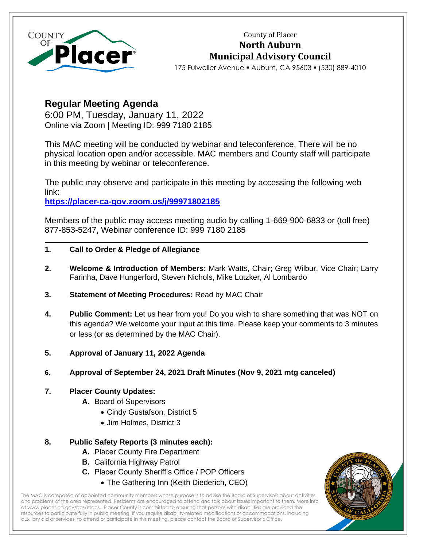

County of Placer **North Auburn Municipal Advisory Council**

175 Fulweiler Avenue ▪ Auburn, CA 95603 ▪ (530) 889-4010

# **Regular Meeting Agenda**

6:00 PM, Tuesday, January 11, 2022 Online via Zoom | Meeting ID: 999 7180 2185

This MAC meeting will be conducted by webinar and teleconference. There will be no physical location open and/or accessible. MAC members and County staff will participate in this meeting by webinar or teleconference.

The public may observe and participate in this meeting by accessing the following web link:

**[https://placer-ca-gov.zoom.us/j/99971802185](https://protect-us.mimecast.com/s/SW1aCBByo8SDqRyBIzQUNR?domain=placer-ca-gov.zoom.us)**

Members of the public may access meeting audio by calling 1-669-900-6833 or (toll free) 877-853-5247, Webinar conference ID: 999 7180 2185

- **1. Call to Order & Pledge of Allegiance**
- **2. Welcome & Introduction of Members:** Mark Watts, Chair; Greg Wilbur, Vice Chair; Larry Farinha, Dave Hungerford, Steven Nichols, Mike Lutzker, Al Lombardo
- **3. Statement of Meeting Procedures:** Read by MAC Chair
- **4. Public Comment:** Let us hear from you! Do you wish to share something that was NOT on this agenda? We welcome your input at this time. Please keep your comments to 3 minutes or less (or as determined by the MAC Chair).
- **5. Approval of January 11, 2022 Agenda**
- **6. Approval of September 24, 2021 Draft Minutes (Nov 9, 2021 mtg canceled)**

# **7. Placer County Updates:**

- **A.** Board of Supervisors
	- Cindy Gustafson, District 5
	- Jim Holmes, District 3

# **8. Public Safety Reports (3 minutes each):**

- **A.** Placer County Fire Department
- **B.** California Highway Patrol
- **C.** Placer County Sheriff's Office / POP Officers
	- The Gathering Inn (Keith Diederich, CEO)

The MAC is composed of appointed community members whose purpose is to advise the Board of Supervisors about activities and problems of the area represented. Residents are encouraged to attend and talk about issues important to them. More info a[t www.placer.ca.gov/bos/macs.](http://www.placer.ca.gov/bos/macs) Placer County is committed to ensuring that persons with disabilities are provided the resources to participate fully in public meeting. If you require disability-related modifications or accommodations, including auxiliary aid or services, to attend or participate in this meeting, please contact the Board of Supervisor's Office.

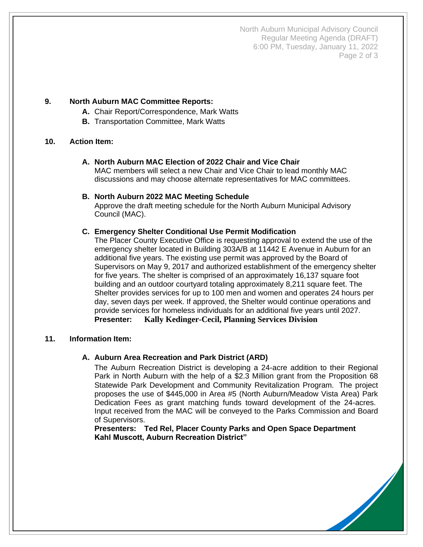North Auburn Municipal Advisory Council Regular Meeting Agenda (DRAFT) 6:00 PM, Tuesday, January 11, 2022 Page 2 of 3

# **9. North Auburn MAC Committee Reports:**

- **A.** Chair Report/Correspondence, Mark Watts
- **B.** Transportation Committee, Mark Watts

# **10. Action Item:**

# **A. North Auburn MAC Election of 2022 Chair and Vice Chair**

MAC members will select a new Chair and Vice Chair to lead monthly MAC discussions and may choose alternate representatives for MAC committees.

#### **B. North Auburn 2022 MAC Meeting Schedule**

Approve the draft meeting schedule for the North Auburn Municipal Advisory Council (MAC).

# **C. Emergency Shelter Conditional Use Permit Modification**

The Placer County Executive Office is requesting approval to extend the use of the emergency shelter located in Building 303A/B at 11442 E Avenue in Auburn for an additional five years. The existing use permit was approved by the Board of Supervisors on May 9, 2017 and authorized establishment of the emergency shelter for five years. The shelter is comprised of an approximately 16,137 square foot building and an outdoor courtyard totaling approximately 8,211 square feet. The Shelter provides services for up to 100 men and women and operates 24 hours per day, seven days per week. If approved, the Shelter would continue operations and provide services for homeless individuals for an additional five years until 2027. **Presenter: Kally Kedinger-Cecil, Planning Services Division**

# **11. Information Item:**

# **A. Auburn Area Recreation and Park District (ARD)**

The Auburn Recreation District is developing a 24-acre addition to their Regional Park in North Auburn with the help of a \$2.3 Million grant from the Proposition 68 Statewide Park Development and Community Revitalization Program. The project proposes the use of \$445,000 in Area #5 (North Auburn/Meadow Vista Area) Park Dedication Fees as grant matching funds toward development of the 24-acres. Input received from the MAC will be conveyed to the Parks Commission and Board of Supervisors.

**Presenters: Ted Rel, Placer County Parks and Open Space Department Kahl Muscott, Auburn Recreation District"**